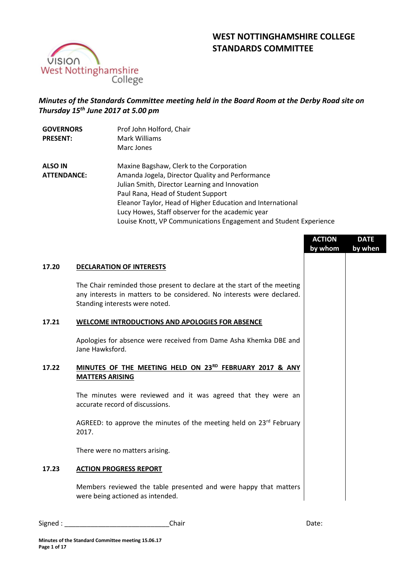# **WEST NOTTINGHAMSHIRE COLLEGE STANDARDS COMMITTEE**



## *Minutes of the Standards Committee meeting held in the Board Room at the Derby Road site on Thursday 15th June 2017 at 5.00 pm*

| <b>GOVERNORS</b><br><b>PRESENT:</b>  | Prof John Holford, Chair<br>Mark Williams<br>Marc Jones                                                                                                                                                                                                                                                                                                                    |
|--------------------------------------|----------------------------------------------------------------------------------------------------------------------------------------------------------------------------------------------------------------------------------------------------------------------------------------------------------------------------------------------------------------------------|
| <b>ALSO IN</b><br><b>ATTENDANCE:</b> | Maxine Bagshaw, Clerk to the Corporation<br>Amanda Jogela, Director Quality and Performance<br>Julian Smith, Director Learning and Innovation<br>Paul Rana, Head of Student Support<br>Eleanor Taylor, Head of Higher Education and International<br>Lucy Howes, Staff observer for the academic year<br>Louise Knott, VP Communications Engagement and Student Experience |

|       |                                                                                                                                                                                     | <b>ACTION</b><br>by whom | <b>DATE</b><br>by when |
|-------|-------------------------------------------------------------------------------------------------------------------------------------------------------------------------------------|--------------------------|------------------------|
| 17.20 | <b>DECLARATION OF INTERESTS</b>                                                                                                                                                     |                          |                        |
|       | The Chair reminded those present to declare at the start of the meeting<br>any interests in matters to be considered. No interests were declared.<br>Standing interests were noted. |                          |                        |
| 17.21 | WELCOME INTRODUCTIONS AND APOLOGIES FOR ABSENCE                                                                                                                                     |                          |                        |
|       | Apologies for absence were received from Dame Asha Khemka DBE and<br>Jane Hawksford.                                                                                                |                          |                        |
| 17.22 | MINUTES OF THE MEETING HELD ON 23RD FEBRUARY 2017 & ANY<br><b>MATTERS ARISING</b>                                                                                                   |                          |                        |
|       | The minutes were reviewed and it was agreed that they were an<br>accurate record of discussions.                                                                                    |                          |                        |
|       | AGREED: to approve the minutes of the meeting held on $23rd$ February<br>2017.                                                                                                      |                          |                        |
|       | There were no matters arising.                                                                                                                                                      |                          |                        |
| 17.23 | <b>ACTION PROGRESS REPORT</b>                                                                                                                                                       |                          |                        |
|       | Members reviewed the table presented and were happy that matters<br>were being actioned as intended.                                                                                |                          |                        |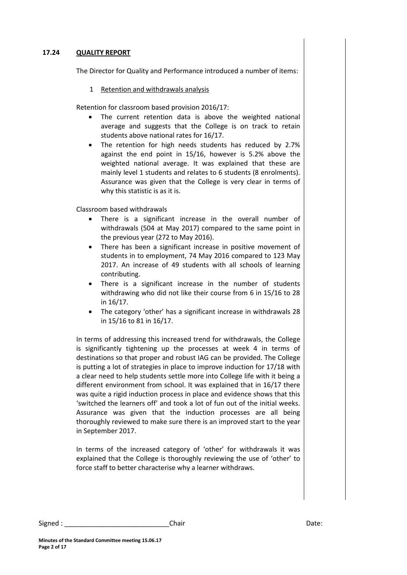#### **17.24 QUALITY REPORT**

The Director for Quality and Performance introduced a number of items:

#### 1 Retention and withdrawals analysis

Retention for classroom based provision 2016/17:

- The current retention data is above the weighted national average and suggests that the College is on track to retain students above national rates for 16/17.
- The retention for high needs students has reduced by 2.7% against the end point in 15/16, however is 5.2% above the weighted national average. It was explained that these are mainly level 1 students and relates to 6 students (8 enrolments). Assurance was given that the College is very clear in terms of why this statistic is as it is.

Classroom based withdrawals

- There is a significant increase in the overall number of withdrawals (504 at May 2017) compared to the same point in the previous year (272 to May 2016).
- There has been a significant increase in positive movement of students in to employment, 74 May 2016 compared to 123 May 2017. An increase of 49 students with all schools of learning contributing.
- There is a significant increase in the number of students withdrawing who did not like their course from 6 in 15/16 to 28 in 16/17.
- The category 'other' has a significant increase in withdrawals 28 in 15/16 to 81 in 16/17.

In terms of addressing this increased trend for withdrawals, the College is significantly tightening up the processes at week 4 in terms of destinations so that proper and robust IAG can be provided. The College is putting a lot of strategies in place to improve induction for 17/18 with a clear need to help students settle more into College life with it being a different environment from school. It was explained that in 16/17 there was quite a rigid induction process in place and evidence shows that this 'switched the learners off' and took a lot of fun out of the initial weeks. Assurance was given that the induction processes are all being thoroughly reviewed to make sure there is an improved start to the year in September 2017.

In terms of the increased category of 'other' for withdrawals it was explained that the College is thoroughly reviewing the use of 'other' to force staff to better characterise why a learner withdraws.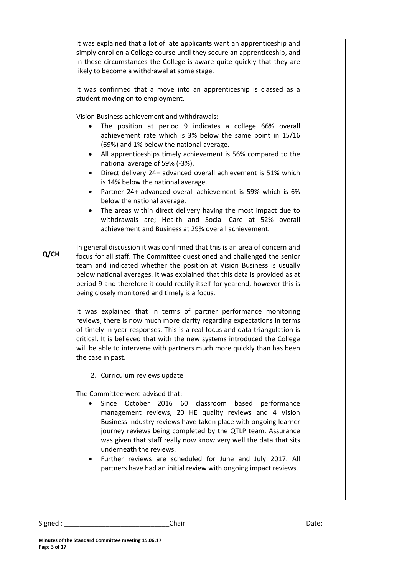It was explained that a lot of late applicants want an apprenticeship and simply enrol on a College course until they secure an apprenticeship, and in these circumstances the College is aware quite quickly that they are likely to become a withdrawal at some stage.

It was confirmed that a move into an apprenticeship is classed as a student moving on to employment.

Vision Business achievement and withdrawals:

- The position at period 9 indicates a college 66% overall achievement rate which is 3% below the same point in 15/16 (69%) and 1% below the national average.
- All apprenticeships timely achievement is 56% compared to the national average of 59% (-3%).
- Direct delivery 24+ advanced overall achievement is 51% which is 14% below the national average.
- Partner 24+ advanced overall achievement is 59% which is 6% below the national average.
- The areas within direct delivery having the most impact due to withdrawals are; Health and Social Care at 52% overall achievement and Business at 29% overall achievement.
- **Q/CH** In general discussion it was confirmed that this is an area of concern and focus for all staff. The Committee questioned and challenged the senior team and indicated whether the position at Vision Business is usually below national averages. It was explained that this data is provided as at period 9 and therefore it could rectify itself for yearend, however this is being closely monitored and timely is a focus.

It was explained that in terms of partner performance monitoring reviews, there is now much more clarity regarding expectations in terms of timely in year responses. This is a real focus and data triangulation is critical. It is believed that with the new systems introduced the College will be able to intervene with partners much more quickly than has been the case in past.

### 2. Curriculum reviews update

The Committee were advised that:

- Since October 2016 60 classroom based performance management reviews, 20 HE quality reviews and 4 Vision Business industry reviews have taken place with ongoing learner journey reviews being completed by the QTLP team. Assurance was given that staff really now know very well the data that sits underneath the reviews.
- Further reviews are scheduled for June and July 2017. All partners have had an initial review with ongoing impact reviews.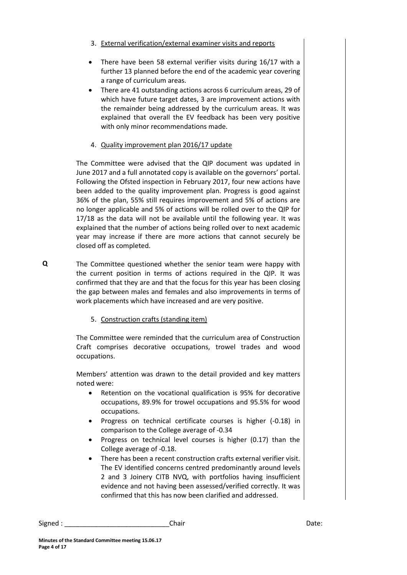- 3. External verification/external examiner visits and reports
- There have been 58 external verifier visits during 16/17 with a further 13 planned before the end of the academic year covering a range of curriculum areas.
- There are 41 outstanding actions across 6 curriculum areas, 29 of which have future target dates, 3 are improvement actions with the remainder being addressed by the curriculum areas. It was explained that overall the EV feedback has been very positive with only minor recommendations made.

## 4. Quality improvement plan 2016/17 update

The Committee were advised that the QIP document was updated in June 2017 and a full annotated copy is available on the governors' portal. Following the Ofsted inspection in February 2017, four new actions have been added to the quality improvement plan. Progress is good against 36% of the plan, 55% still requires improvement and 5% of actions are no longer applicable and 5% of actions will be rolled over to the QIP for 17/18 as the data will not be available until the following year. It was explained that the number of actions being rolled over to next academic year may increase if there are more actions that cannot securely be closed off as completed.

- The Committee questioned whether the senior team were happy with the current position in terms of actions required in the QIP. It was confirmed that they are and that the focus for this year has been closing the gap between males and females and also improvements in terms of work placements which have increased and are very positive.
	- 5. Construction crafts (standing item)

The Committee were reminded that the curriculum area of Construction Craft comprises decorative occupations, trowel trades and wood occupations.

Members' attention was drawn to the detail provided and key matters noted were:

- Retention on the vocational qualification is 95% for decorative occupations, 89.9% for trowel occupations and 95.5% for wood occupations.
- Progress on technical certificate courses is higher (-0.18) in comparison to the College average of -0.34
- Progress on technical level courses is higher (0.17) than the College average of -0.18.
- There has been a recent construction crafts external verifier visit. The EV identified concerns centred predominantly around levels 2 and 3 Joinery CITB NVQ, with portfolios having insufficient evidence and not having been assessed/verified correctly. It was confirmed that this has now been clarified and addressed.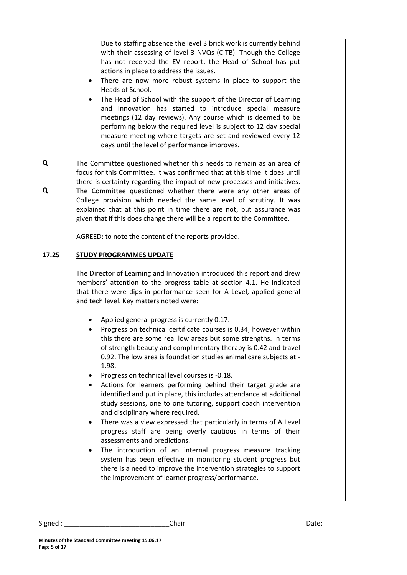Due to staffing absence the level 3 brick work is currently behind with their assessing of level 3 NVQs (CITB). Though the College has not received the EV report, the Head of School has put actions in place to address the issues.

- There are now more robust systems in place to support the Heads of School.
- The Head of School with the support of the Director of Learning and Innovation has started to introduce special measure meetings (12 day reviews). Any course which is deemed to be performing below the required level is subject to 12 day special measure meeting where targets are set and reviewed every 12 days until the level of performance improves.
- **Q Q** The Committee questioned whether this needs to remain as an area of focus for this Committee. It was confirmed that at this time it does until there is certainty regarding the impact of new processes and initiatives. The Committee questioned whether there were any other areas of College provision which needed the same level of scrutiny. It was explained that at this point in time there are not, but assurance was given that if this does change there will be a report to the Committee.

AGREED: to note the content of the reports provided.

#### **17.25 STUDY PROGRAMMES UPDATE**

The Director of Learning and Innovation introduced this report and drew members' attention to the progress table at section 4.1. He indicated that there were dips in performance seen for A Level, applied general and tech level. Key matters noted were:

- Applied general progress is currently 0.17.
- Progress on technical certificate courses is 0.34, however within this there are some real low areas but some strengths. In terms of strength beauty and complimentary therapy is 0.42 and travel 0.92. The low area is foundation studies animal care subjects at - 1.98.
- Progress on technical level courses is -0.18.
- Actions for learners performing behind their target grade are identified and put in place, this includes attendance at additional study sessions, one to one tutoring, support coach intervention and disciplinary where required.
- There was a view expressed that particularly in terms of A Level progress staff are being overly cautious in terms of their assessments and predictions.
- The introduction of an internal progress measure tracking system has been effective in monitoring student progress but there is a need to improve the intervention strategies to support the improvement of learner progress/performance.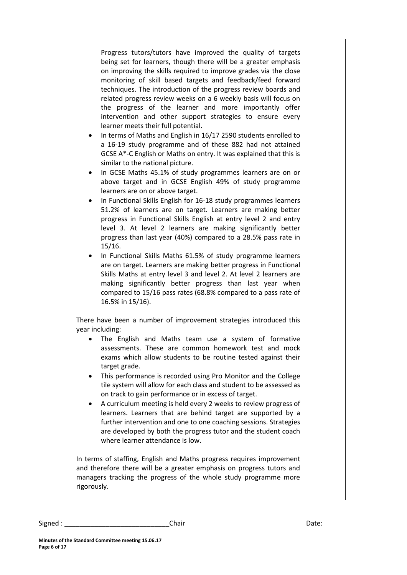Progress tutors/tutors have improved the quality of targets being set for learners, though there will be a greater emphasis on improving the skills required to improve grades via the close monitoring of skill based targets and feedback/feed forward techniques. The introduction of the progress review boards and related progress review weeks on a 6 weekly basis will focus on the progress of the learner and more importantly offer intervention and other support strategies to ensure every learner meets their full potential.

- In terms of Maths and English in 16/17 2590 students enrolled to a 16-19 study programme and of these 882 had not attained GCSE A\*-C English or Maths on entry. It was explained that this is similar to the national picture.
- In GCSE Maths 45.1% of study programmes learners are on or above target and in GCSE English 49% of study programme learners are on or above target.
- In Functional Skills English for 16-18 study programmes learners 51.2% of learners are on target. Learners are making better progress in Functional Skills English at entry level 2 and entry level 3. At level 2 learners are making significantly better progress than last year (40%) compared to a 28.5% pass rate in 15/16.
- In Functional Skills Maths 61.5% of study programme learners are on target. Learners are making better progress in Functional Skills Maths at entry level 3 and level 2. At level 2 learners are making significantly better progress than last year when compared to 15/16 pass rates (68.8% compared to a pass rate of 16.5% in 15/16).

There have been a number of improvement strategies introduced this year including:

- The English and Maths team use a system of formative assessments. These are common homework test and mock exams which allow students to be routine tested against their target grade.
- This performance is recorded using Pro Monitor and the College tile system will allow for each class and student to be assessed as on track to gain performance or in excess of target.
- A curriculum meeting is held every 2 weeks to review progress of learners. Learners that are behind target are supported by a further intervention and one to one coaching sessions. Strategies are developed by both the progress tutor and the student coach where learner attendance is low.

In terms of staffing, English and Maths progress requires improvement and therefore there will be a greater emphasis on progress tutors and managers tracking the progress of the whole study programme more rigorously.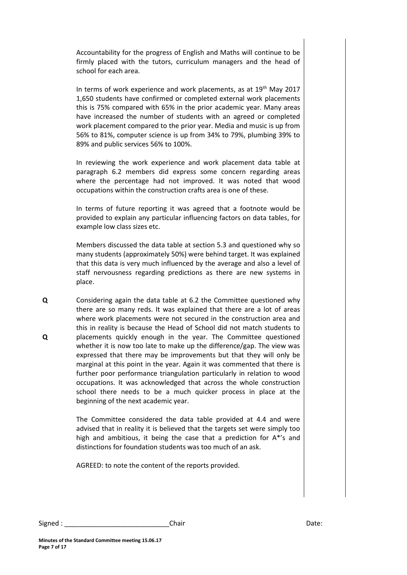Accountability for the progress of English and Maths will continue to be firmly placed with the tutors, curriculum managers and the head of school for each area.

In terms of work experience and work placements, as at  $19<sup>th</sup>$  May 2017 1,650 students have confirmed or completed external work placements this is 75% compared with 65% in the prior academic year. Many areas have increased the number of students with an agreed or completed work placement compared to the prior year. Media and music is up from 56% to 81%, computer science is up from 34% to 79%, plumbing 39% to 89% and public services 56% to 100%.

In reviewing the work experience and work placement data table at paragraph 6.2 members did express some concern regarding areas where the percentage had not improved. It was noted that wood occupations within the construction crafts area is one of these.

In terms of future reporting it was agreed that a footnote would be provided to explain any particular influencing factors on data tables, for example low class sizes etc.

Members discussed the data table at section 5.3 and questioned why so many students (approximately 50%) were behind target. It was explained that this data is very much influenced by the average and also a level of staff nervousness regarding predictions as there are new systems in place.

**Q Q** Considering again the data table at 6.2 the Committee questioned why there are so many reds. It was explained that there are a lot of areas where work placements were not secured in the construction area and this in reality is because the Head of School did not match students to placements quickly enough in the year. The Committee questioned whether it is now too late to make up the difference/gap. The view was expressed that there may be improvements but that they will only be marginal at this point in the year. Again it was commented that there is further poor performance triangulation particularly in relation to wood occupations. It was acknowledged that across the whole construction school there needs to be a much quicker process in place at the beginning of the next academic year.

> The Committee considered the data table provided at 4.4 and were advised that in reality it is believed that the targets set were simply too high and ambitious, it being the case that a prediction for A\*'s and distinctions for foundation students was too much of an ask.

AGREED: to note the content of the reports provided.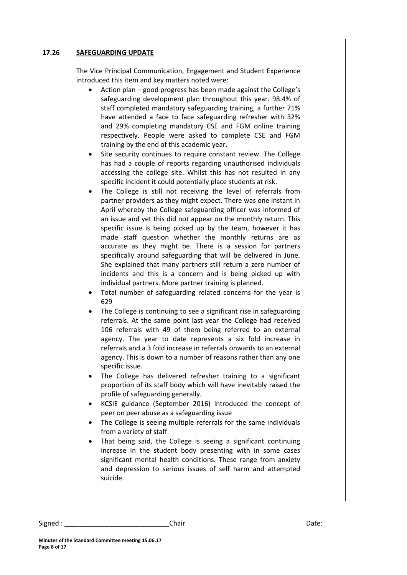#### **17.26 SAFEGUARDING UPDATE**

The Vice Principal Communication, Engagement and Student Experience introduced this item and key matters noted were:

- Action plan good progress has been made against the College's safeguarding development plan throughout this year. 98.4% of staff completed mandatory safeguarding training, a further 71% have attended a face to face safeguarding refresher with 32% and 29% completing mandatory CSE and FGM online training respectively. People were asked to complete CSE and FGM training by the end of this academic year.
- Site security continues to require constant review. The College has had a couple of reports regarding unauthorised individuals accessing the college site. Whilst this has not resulted in any specific incident it could potentially place students at risk.
- The College is still not receiving the level of referrals from partner providers as they might expect. There was one instant in April whereby the College safeguarding officer was informed of an issue and yet this did not appear on the monthly return. This specific issue is being picked up by the team, however it has made staff question whether the monthly returns are as accurate as they might be. There is a session for partners specifically around safeguarding that will be delivered in June. She explained that many partners still return a zero number of incidents and this is a concern and is being picked up with individual partners. More partner training is planned.
- Total number of safeguarding related concerns for the year is 629
- The College is continuing to see a significant rise in safeguarding referrals. At the same point last year the College had received 106 referrals with 49 of them being referred to an external agency. The year to date represents a six fold increase in referrals and a 3 fold increase in referrals onwards to an external agency. This is down to a number of reasons rather than any one specific issue.
- The College has delivered refresher training to a significant proportion of its staff body which will have inevitably raised the profile of safeguarding generally.
- KCSIE guidance (September 2016) introduced the concept of peer on peer abuse as a safeguarding issue
- The College is seeing multiple referrals for the same individuals from a variety of staff
- That being said, the College is seeing a significant continuing increase in the student body presenting with in some cases significant mental health conditions. These range from anxiety and depression to serious issues of self harm and attempted suicide.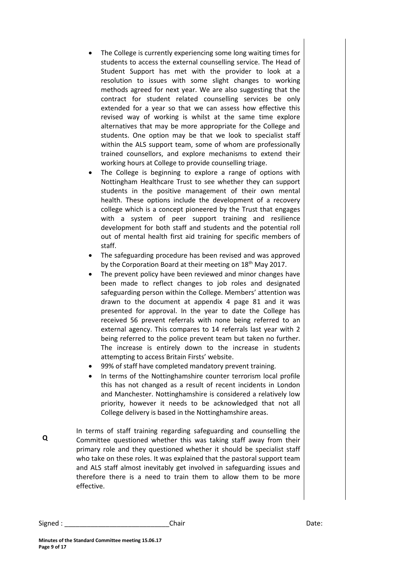- The College is currently experiencing some long waiting times for students to access the external counselling service. The Head of Student Support has met with the provider to look at a resolution to issues with some slight changes to working methods agreed for next year. We are also suggesting that the contract for student related counselling services be only extended for a year so that we can assess how effective this revised way of working is whilst at the same time explore alternatives that may be more appropriate for the College and students. One option may be that we look to specialist staff within the ALS support team, some of whom are professionally trained counsellors, and explore mechanisms to extend their working hours at College to provide counselling triage.
- The College is beginning to explore a range of options with Nottingham Healthcare Trust to see whether they can support students in the positive management of their own mental health. These options include the development of a recovery college which is a concept pioneered by the Trust that engages with a system of peer support training and resilience development for both staff and students and the potential roll out of mental health first aid training for specific members of staff.
- The safeguarding procedure has been revised and was approved by the Corporation Board at their meeting on 18<sup>th</sup> May 2017.
- The prevent policy have been reviewed and minor changes have been made to reflect changes to job roles and designated safeguarding person within the College. Members' attention was drawn to the document at appendix 4 page 81 and it was presented for approval. In the year to date the College has received 56 prevent referrals with none being referred to an external agency. This compares to 14 referrals last year with 2 being referred to the police prevent team but taken no further. The increase is entirely down to the increase in students attempting to access Britain Firsts' website.
- 99% of staff have completed mandatory prevent training.
- In terms of the Nottinghamshire counter terrorism local profile this has not changed as a result of recent incidents in London and Manchester. Nottinghamshire is considered a relatively low priority, however it needs to be acknowledged that not all College delivery is based in the Nottinghamshire areas.
- **Q** In terms of staff training regarding safeguarding and counselling the Committee questioned whether this was taking staff away from their primary role and they questioned whether it should be specialist staff who take on these roles. It was explained that the pastoral support team and ALS staff almost inevitably get involved in safeguarding issues and therefore there is a need to train them to allow them to be more effective.

Signed : \_\_\_\_\_\_\_\_\_\_\_\_\_\_\_\_\_\_\_\_\_\_\_\_\_\_\_\_Chair Date: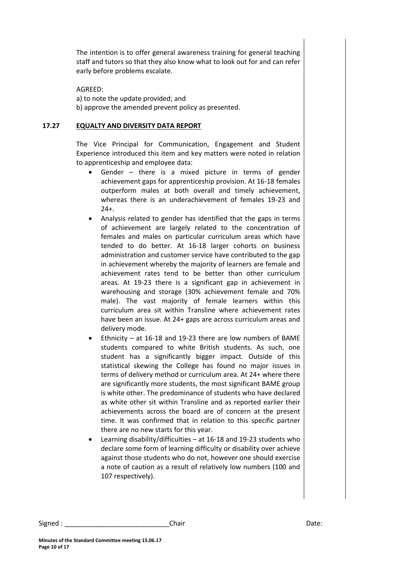The intention is to offer general awareness training for general teaching staff and tutors so that they also know what to look out for and can refer early before problems escalate.

AGREED:

a) to note the update provided; and

b) approve the amended prevent policy as presented.

#### **17.27 EQUALTY AND DIVERSITY DATA REPORT**

The Vice Principal for Communication, Engagement and Student Experience introduced this item and key matters were noted in relation to apprenticeship and employee data:

- Gender there is a mixed picture in terms of gender achievement gaps for apprenticeship provision. At 16-18 females outperform males at both overall and timely achievement, whereas there is an underachievement of females 19-23 and  $24+$
- Analysis related to gender has identified that the gaps in terms of achievement are largely related to the concentration of females and males on particular curriculum areas which have tended to do better. At 16-18 larger cohorts on business administration and customer service have contributed to the gap in achievement whereby the majority of learners are female and achievement rates tend to be better than other curriculum areas. At 19-23 there is a significant gap in achievement in warehousing and storage (30% achievement female and 70% male). The vast majority of female learners within this curriculum area sit within Transline where achievement rates have been an issue. At 24+ gaps are across curriculum areas and delivery mode.
- Ethnicity at 16-18 and 19-23 there are low numbers of BAME students compared to white British students. As such, one student has a significantly bigger impact. Outside of this statistical skewing the College has found no major issues in terms of delivery method or curriculum area. At 24+ where there are significantly more students, the most significant BAME group is white other. The predominance of students who have declared as white other sit within Transline and as reported earlier their achievements across the board are of concern at the present time. It was confirmed that in relation to this specific partner there are no new starts for this year.
- Learning disability/difficulties at 16-18 and 19-23 students who declare some form of learning difficulty or disability over achieve against those students who do not, however one should exercise a note of caution as a result of relatively low numbers (100 and 107 respectively).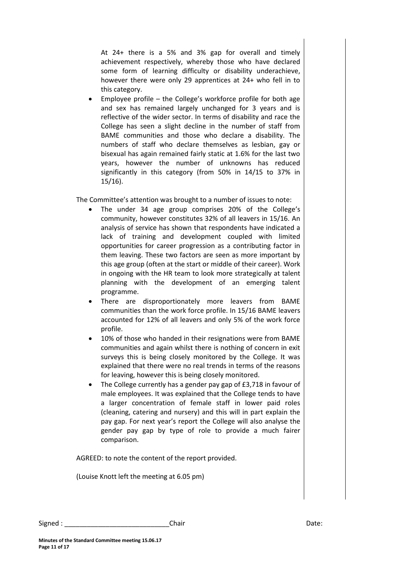At 24+ there is a 5% and 3% gap for overall and timely achievement respectively, whereby those who have declared some form of learning difficulty or disability underachieve, however there were only 29 apprentices at 24+ who fell in to this category.

 Employee profile – the College's workforce profile for both age and sex has remained largely unchanged for 3 years and is reflective of the wider sector. In terms of disability and race the College has seen a slight decline in the number of staff from BAME communities and those who declare a disability. The numbers of staff who declare themselves as lesbian, gay or bisexual has again remained fairly static at 1.6% for the last two years, however the number of unknowns has reduced significantly in this category (from 50% in 14/15 to 37% in 15/16).

The Committee's attention was brought to a number of issues to note:

- The under 34 age group comprises 20% of the College's community, however constitutes 32% of all leavers in 15/16. An analysis of service has shown that respondents have indicated a lack of training and development coupled with limited opportunities for career progression as a contributing factor in them leaving. These two factors are seen as more important by this age group (often at the start or middle of their career). Work in ongoing with the HR team to look more strategically at talent planning with the development of an emerging talent programme.
- There are disproportionately more leavers from BAME communities than the work force profile. In 15/16 BAME leavers accounted for 12% of all leavers and only 5% of the work force profile.
- 10% of those who handed in their resignations were from BAME communities and again whilst there is nothing of concern in exit surveys this is being closely monitored by the College. It was explained that there were no real trends in terms of the reasons for leaving, however this is being closely monitored.
- The College currently has a gender pay gap of £3,718 in favour of male employees. It was explained that the College tends to have a larger concentration of female staff in lower paid roles (cleaning, catering and nursery) and this will in part explain the pay gap. For next year's report the College will also analyse the gender pay gap by type of role to provide a much fairer comparison.

AGREED: to note the content of the report provided.

(Louise Knott left the meeting at 6.05 pm)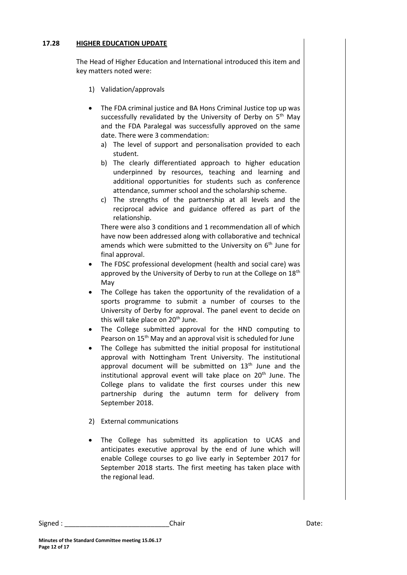#### **17.28 HIGHER EDUCATION UPDATE**

The Head of Higher Education and International introduced this item and key matters noted were:

- 1) Validation/approvals
- The FDA criminal justice and BA Hons Criminal Justice top up was successfully revalidated by the University of Derby on  $5<sup>th</sup>$  May and the FDA Paralegal was successfully approved on the same date. There were 3 commendation:
	- a) The level of support and personalisation provided to each student.
	- b) The clearly differentiated approach to higher education underpinned by resources, teaching and learning and additional opportunities for students such as conference attendance, summer school and the scholarship scheme.
	- c) The strengths of the partnership at all levels and the reciprocal advice and guidance offered as part of the relationship.

There were also 3 conditions and 1 recommendation all of which have now been addressed along with collaborative and technical amends which were submitted to the University on  $6<sup>th</sup>$  June for final approval.

- The FDSC professional development (health and social care) was approved by the University of Derby to run at the College on 18<sup>th</sup> May
- The College has taken the opportunity of the revalidation of a sports programme to submit a number of courses to the University of Derby for approval. The panel event to decide on this will take place on 20<sup>th</sup> June.
- The College submitted approval for the HND computing to Pearson on 15<sup>th</sup> May and an approval visit is scheduled for June
- The College has submitted the initial proposal for institutional approval with Nottingham Trent University. The institutional approval document will be submitted on  $13<sup>th</sup>$  June and the institutional approval event will take place on  $20<sup>th</sup>$  June. The College plans to validate the first courses under this new partnership during the autumn term for delivery from September 2018.
- 2) External communications
- The College has submitted its application to UCAS and anticipates executive approval by the end of June which will enable College courses to go live early in September 2017 for September 2018 starts. The first meeting has taken place with the regional lead.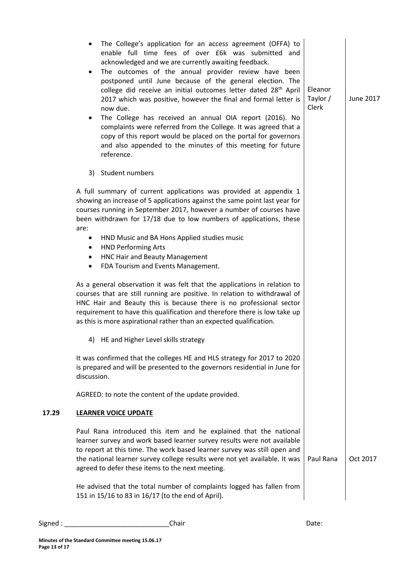|       | The College's application for an access agreement (OFFA) to<br>$\bullet$<br>enable full time fees of over E6k was submitted and<br>acknowledged and we are currently awaiting feedback.<br>The outcomes of the annual provider review have been<br>$\bullet$<br>postponed until June because of the general election. The<br>college did receive an initial outcomes letter dated 28 <sup>th</sup> April<br>2017 which was positive, however the final and formal letter is<br>now due.<br>The College has received an annual OIA report (2016). No<br>$\bullet$<br>complaints were referred from the College. It was agreed that a<br>copy of this report would be placed on the portal for governors<br>and also appended to the minutes of this meeting for future<br>reference. | Eleanor<br>Taylor /<br>Clerk | June 2017 |
|-------|-------------------------------------------------------------------------------------------------------------------------------------------------------------------------------------------------------------------------------------------------------------------------------------------------------------------------------------------------------------------------------------------------------------------------------------------------------------------------------------------------------------------------------------------------------------------------------------------------------------------------------------------------------------------------------------------------------------------------------------------------------------------------------------|------------------------------|-----------|
|       | 3) Student numbers                                                                                                                                                                                                                                                                                                                                                                                                                                                                                                                                                                                                                                                                                                                                                                  |                              |           |
|       | A full summary of current applications was provided at appendix 1<br>showing an increase of 5 applications against the same point last year for<br>courses running in September 2017, however a number of courses have<br>been withdrawn for 17/18 due to low numbers of applications, these<br>are:                                                                                                                                                                                                                                                                                                                                                                                                                                                                                |                              |           |
|       | HND Music and BA Hons Applied studies music<br>$\bullet$                                                                                                                                                                                                                                                                                                                                                                                                                                                                                                                                                                                                                                                                                                                            |                              |           |
|       | <b>HND Performing Arts</b><br>٠<br><b>HNC Hair and Beauty Management</b><br>$\bullet$                                                                                                                                                                                                                                                                                                                                                                                                                                                                                                                                                                                                                                                                                               |                              |           |
|       | FDA Tourism and Events Management.<br>$\bullet$                                                                                                                                                                                                                                                                                                                                                                                                                                                                                                                                                                                                                                                                                                                                     |                              |           |
|       | As a general observation it was felt that the applications in relation to<br>courses that are still running are positive. In relation to withdrawal of<br>HNC Hair and Beauty this is because there is no professional sector<br>requirement to have this qualification and therefore there is low take up<br>as this is more aspirational rather than an expected qualification.                                                                                                                                                                                                                                                                                                                                                                                                   |                              |           |
|       | 4) HE and Higher Level skills strategy                                                                                                                                                                                                                                                                                                                                                                                                                                                                                                                                                                                                                                                                                                                                              |                              |           |
|       | It was confirmed that the colleges HE and HLS strategy for 2017 to 2020<br>is prepared and will be presented to the governors residential in June for<br>discussion.                                                                                                                                                                                                                                                                                                                                                                                                                                                                                                                                                                                                                |                              |           |
|       | AGREED: to note the content of the update provided.                                                                                                                                                                                                                                                                                                                                                                                                                                                                                                                                                                                                                                                                                                                                 |                              |           |
| 17.29 | <b>LEARNER VOICE UPDATE</b>                                                                                                                                                                                                                                                                                                                                                                                                                                                                                                                                                                                                                                                                                                                                                         |                              |           |
|       | Paul Rana introduced this item and he explained that the national<br>learner survey and work based learner survey results were not available<br>to report at this time. The work based learner survey was still open and<br>the national learner survey college results were not yet available. It was<br>agreed to defer these items to the next meeting.                                                                                                                                                                                                                                                                                                                                                                                                                          | Paul Rana                    | Oct 2017  |
|       | He advised that the total number of complaints logged has fallen from<br>151 in 15/16 to 83 in 16/17 (to the end of April).                                                                                                                                                                                                                                                                                                                                                                                                                                                                                                                                                                                                                                                         |                              |           |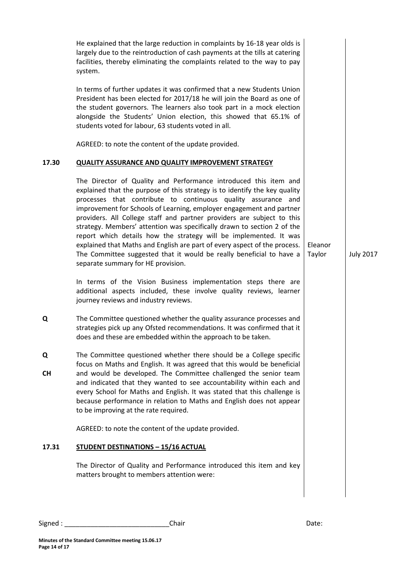|           | He explained that the large reduction in complaints by 16-18 year olds is<br>largely due to the reintroduction of cash payments at the tills at catering<br>facilities, thereby eliminating the complaints related to the way to pay<br>system.                                                                                                                                                                                                                                                                                                                                                                                                                                                              |                   |                  |
|-----------|--------------------------------------------------------------------------------------------------------------------------------------------------------------------------------------------------------------------------------------------------------------------------------------------------------------------------------------------------------------------------------------------------------------------------------------------------------------------------------------------------------------------------------------------------------------------------------------------------------------------------------------------------------------------------------------------------------------|-------------------|------------------|
|           | In terms of further updates it was confirmed that a new Students Union<br>President has been elected for 2017/18 he will join the Board as one of<br>the student governors. The learners also took part in a mock election<br>alongside the Students' Union election, this showed that 65.1% of<br>students voted for labour, 63 students voted in all.                                                                                                                                                                                                                                                                                                                                                      |                   |                  |
|           | AGREED: to note the content of the update provided.                                                                                                                                                                                                                                                                                                                                                                                                                                                                                                                                                                                                                                                          |                   |                  |
| 17.30     | <b>QUALITY ASSURANCE AND QUALITY IMPROVEMENT STRATEGY</b>                                                                                                                                                                                                                                                                                                                                                                                                                                                                                                                                                                                                                                                    |                   |                  |
|           | The Director of Quality and Performance introduced this item and<br>explained that the purpose of this strategy is to identify the key quality<br>processes that contribute to continuous quality assurance and<br>improvement for Schools of Learning, employer engagement and partner<br>providers. All College staff and partner providers are subject to this<br>strategy. Members' attention was specifically drawn to section 2 of the<br>report which details how the strategy will be implemented. It was<br>explained that Maths and English are part of every aspect of the process.<br>The Committee suggested that it would be really beneficial to have a<br>separate summary for HE provision. | Eleanor<br>Taylor | <b>July 2017</b> |
|           | In terms of the Vision Business implementation steps there are<br>additional aspects included, these involve quality reviews, learner<br>journey reviews and industry reviews.                                                                                                                                                                                                                                                                                                                                                                                                                                                                                                                               |                   |                  |
| Q         | The Committee questioned whether the quality assurance processes and<br>strategies pick up any Ofsted recommendations. It was confirmed that it<br>does and these are embedded within the approach to be taken.                                                                                                                                                                                                                                                                                                                                                                                                                                                                                              |                   |                  |
| Q         | The Committee questioned whether there should be a College specific                                                                                                                                                                                                                                                                                                                                                                                                                                                                                                                                                                                                                                          |                   |                  |
| <b>CH</b> | focus on Maths and English. It was agreed that this would be beneficial<br>and would be developed. The Committee challenged the senior team<br>and indicated that they wanted to see accountability within each and<br>every School for Maths and English. It was stated that this challenge is<br>because performance in relation to Maths and English does not appear<br>to be improving at the rate required.                                                                                                                                                                                                                                                                                             |                   |                  |
|           | AGREED: to note the content of the update provided.                                                                                                                                                                                                                                                                                                                                                                                                                                                                                                                                                                                                                                                          |                   |                  |
| 17.31     | <b>STUDENT DESTINATIONS - 15/16 ACTUAL</b>                                                                                                                                                                                                                                                                                                                                                                                                                                                                                                                                                                                                                                                                   |                   |                  |
|           | The Director of Quality and Performance introduced this item and key<br>matters brought to members attention were:                                                                                                                                                                                                                                                                                                                                                                                                                                                                                                                                                                                           |                   |                  |
|           |                                                                                                                                                                                                                                                                                                                                                                                                                                                                                                                                                                                                                                                                                                              |                   |                  |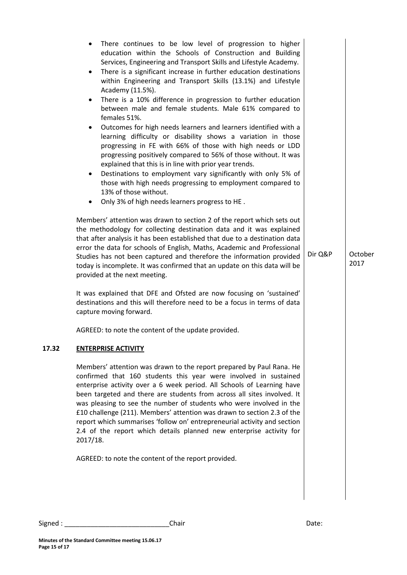|       | There continues to be low level of progression to higher<br>education within the Schools of Construction and Building<br>Services, Engineering and Transport Skills and Lifestyle Academy.<br>There is a significant increase in further education destinations<br>$\bullet$<br>within Engineering and Transport Skills (13.1%) and Lifestyle<br>Academy (11.5%).<br>There is a 10% difference in progression to further education<br>$\bullet$<br>between male and female students. Male 61% compared to<br>females 51%.<br>Outcomes for high needs learners and learners identified with a<br>learning difficulty or disability shows a variation in those<br>progressing in FE with 66% of those with high needs or LDD<br>progressing positively compared to 56% of those without. It was<br>explained that this is in line with prior year trends.<br>Destinations to employment vary significantly with only 5% of<br>$\bullet$<br>those with high needs progressing to employment compared to<br>13% of those without.<br>Only 3% of high needs learners progress to HE.<br>Members' attention was drawn to section 2 of the report which sets out |         |                 |
|-------|-----------------------------------------------------------------------------------------------------------------------------------------------------------------------------------------------------------------------------------------------------------------------------------------------------------------------------------------------------------------------------------------------------------------------------------------------------------------------------------------------------------------------------------------------------------------------------------------------------------------------------------------------------------------------------------------------------------------------------------------------------------------------------------------------------------------------------------------------------------------------------------------------------------------------------------------------------------------------------------------------------------------------------------------------------------------------------------------------------------------------------------------------------------|---------|-----------------|
|       | the methodology for collecting destination data and it was explained<br>that after analysis it has been established that due to a destination data<br>error the data for schools of English, Maths, Academic and Professional<br>Studies has not been captured and therefore the information provided<br>today is incomplete. It was confirmed that an update on this data will be<br>provided at the next meeting.                                                                                                                                                                                                                                                                                                                                                                                                                                                                                                                                                                                                                                                                                                                                       | Dir Q&P | October<br>2017 |
|       | It was explained that DFE and Ofsted are now focusing on 'sustained'<br>destinations and this will therefore need to be a focus in terms of data<br>capture moving forward.                                                                                                                                                                                                                                                                                                                                                                                                                                                                                                                                                                                                                                                                                                                                                                                                                                                                                                                                                                               |         |                 |
|       | AGREED: to note the content of the update provided.                                                                                                                                                                                                                                                                                                                                                                                                                                                                                                                                                                                                                                                                                                                                                                                                                                                                                                                                                                                                                                                                                                       |         |                 |
| 17.32 | <b>ENTERPRISE ACTIVITY</b>                                                                                                                                                                                                                                                                                                                                                                                                                                                                                                                                                                                                                                                                                                                                                                                                                                                                                                                                                                                                                                                                                                                                |         |                 |
|       | Members' attention was drawn to the report prepared by Paul Rana. He<br>confirmed that 160 students this year were involved in sustained<br>enterprise activity over a 6 week period. All Schools of Learning have<br>been targeted and there are students from across all sites involved. It<br>was pleasing to see the number of students who were involved in the<br>£10 challenge (211). Members' attention was drawn to section 2.3 of the<br>report which summarises 'follow on' entrepreneurial activity and section<br>2.4 of the report which details planned new enterprise activity for<br>2017/18.                                                                                                                                                                                                                                                                                                                                                                                                                                                                                                                                            |         |                 |
|       | AGREED: to note the content of the report provided.                                                                                                                                                                                                                                                                                                                                                                                                                                                                                                                                                                                                                                                                                                                                                                                                                                                                                                                                                                                                                                                                                                       |         |                 |
|       |                                                                                                                                                                                                                                                                                                                                                                                                                                                                                                                                                                                                                                                                                                                                                                                                                                                                                                                                                                                                                                                                                                                                                           |         |                 |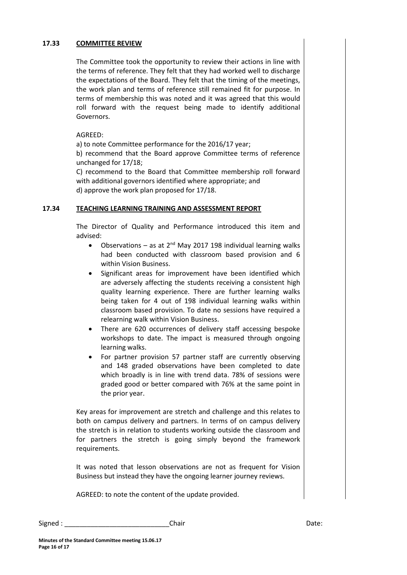#### **17.33 COMMITTEE REVIEW**

The Committee took the opportunity to review their actions in line with the terms of reference. They felt that they had worked well to discharge the expectations of the Board. They felt that the timing of the meetings, the work plan and terms of reference still remained fit for purpose. In terms of membership this was noted and it was agreed that this would roll forward with the request being made to identify additional Governors.

#### AGREED:

a) to note Committee performance for the 2016/17 year;

b) recommend that the Board approve Committee terms of reference unchanged for 17/18;

C) recommend to the Board that Committee membership roll forward with additional governors identified where appropriate; and d) approve the work plan proposed for 17/18.

#### **17.34 TEACHING LEARNING TRAINING AND ASSESSMENT REPORT**

The Director of Quality and Performance introduced this item and advised:

- Observations as at  $2^{nd}$  May 2017 198 individual learning walks had been conducted with classroom based provision and 6 within Vision Business.
- Significant areas for improvement have been identified which are adversely affecting the students receiving a consistent high quality learning experience. There are further learning walks being taken for 4 out of 198 individual learning walks within classroom based provision. To date no sessions have required a relearning walk within Vision Business.
- There are 620 occurrences of delivery staff accessing bespoke workshops to date. The impact is measured through ongoing learning walks.
- For partner provision 57 partner staff are currently observing and 148 graded observations have been completed to date which broadly is in line with trend data. 78% of sessions were graded good or better compared with 76% at the same point in the prior year.

Key areas for improvement are stretch and challenge and this relates to both on campus delivery and partners. In terms of on campus delivery the stretch is in relation to students working outside the classroom and for partners the stretch is going simply beyond the framework requirements.

It was noted that lesson observations are not as frequent for Vision Business but instead they have the ongoing learner journey reviews.

AGREED: to note the content of the update provided.